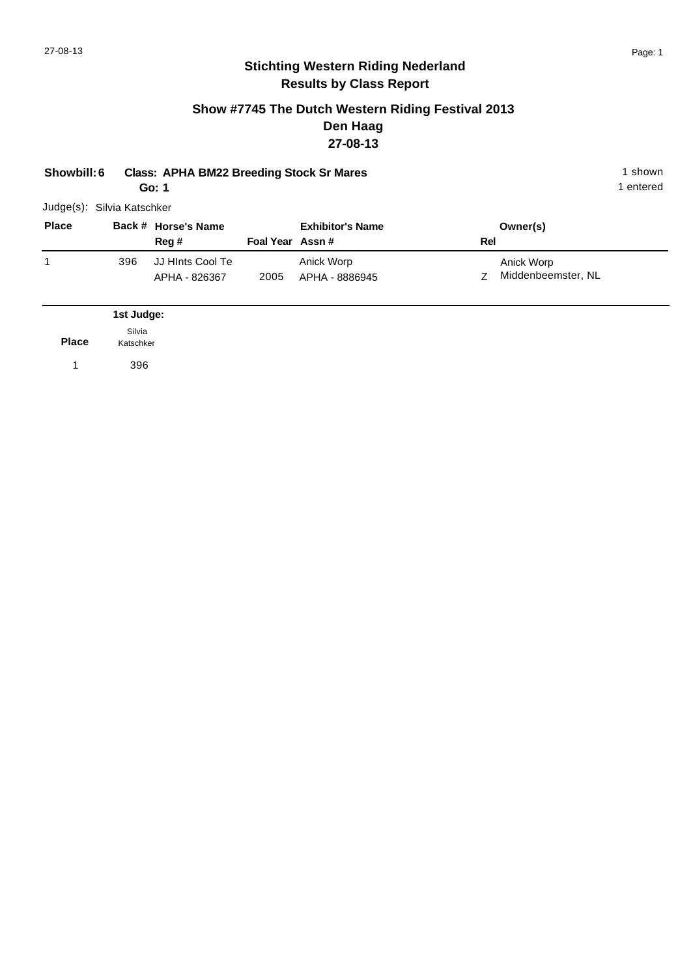### **Show #7745 The Dutch Western Riding Festival 2013 Den Haag 27-08-13**

| Showbill: 6                |                     | <b>Class: APHA BM22 Breeding Stock Sr Mares</b><br>Go: 1 |                 |                              |     |                                  | 1 shown<br>1 entered |
|----------------------------|---------------------|----------------------------------------------------------|-----------------|------------------------------|-----|----------------------------------|----------------------|
| Judge(s): Silvia Katschker |                     |                                                          |                 |                              |     |                                  |                      |
| <b>Place</b>               |                     | Back # Horse's Name<br>Reg #                             | Foal Year Assn# | <b>Exhibitor's Name</b>      | Rel | Owner(s)                         |                      |
| 1                          | 396                 | JJ HInts Cool Te<br>APHA - 826367                        | 2005            | Anick Worp<br>APHA - 8886945 | Ζ   | Anick Worp<br>Middenbeemster, NL |                      |
|                            | 1st Judge:          |                                                          |                 |                              |     |                                  |                      |
| <b>Place</b>               | Silvia<br>Katschker |                                                          |                 |                              |     |                                  |                      |
|                            | 396                 |                                                          |                 |                              |     |                                  |                      |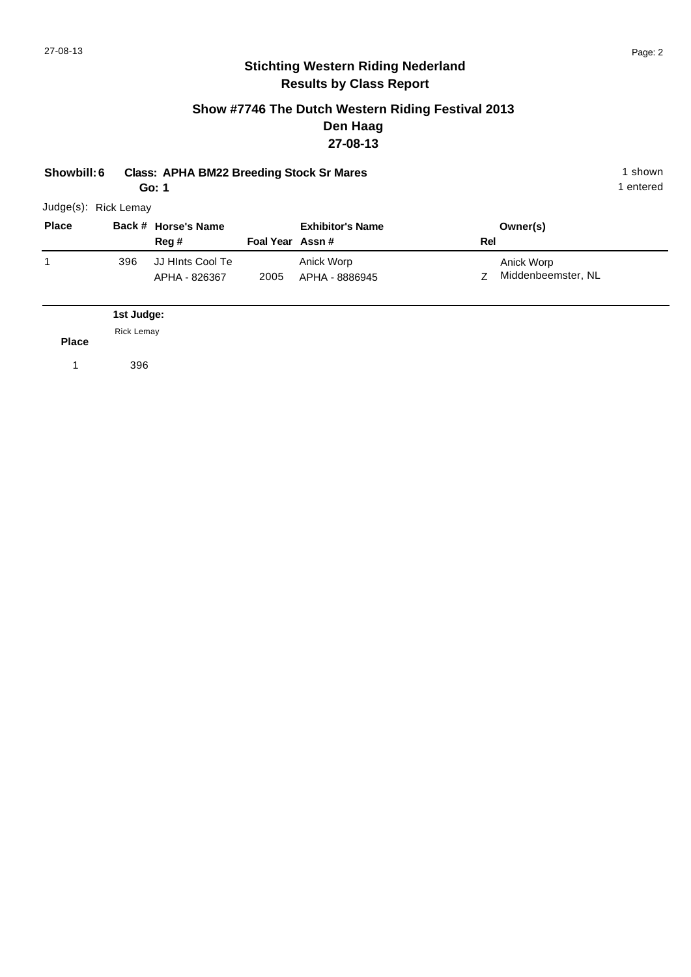#### **Show #7746 The Dutch Western Riding Festival 2013 Den Haag 27-08-13**

| Showbill: 6          |                   | <b>Class: APHA BM22 Breeding Stock Sr Mares</b><br>Go: 1 |                 |                              |     |                                  | 1 shown<br>1 entered |
|----------------------|-------------------|----------------------------------------------------------|-----------------|------------------------------|-----|----------------------------------|----------------------|
| Judge(s): Rick Lemay |                   |                                                          |                 |                              |     |                                  |                      |
| <b>Place</b>         |                   | Back # Horse's Name<br>Reg #                             | Foal Year Assn# | <b>Exhibitor's Name</b>      | Rel | Owner(s)                         |                      |
| 1                    | 396               | JJ HInts Cool Te<br>APHA - 826367                        | 2005            | Anick Worp<br>APHA - 8886945 | Ζ   | Anick Worp<br>Middenbeemster, NL |                      |
|                      | 1st Judge:        |                                                          |                 |                              |     |                                  |                      |
| <b>Place</b>         | <b>Rick Lemay</b> |                                                          |                 |                              |     |                                  |                      |
| 1                    | 396               |                                                          |                 |                              |     |                                  |                      |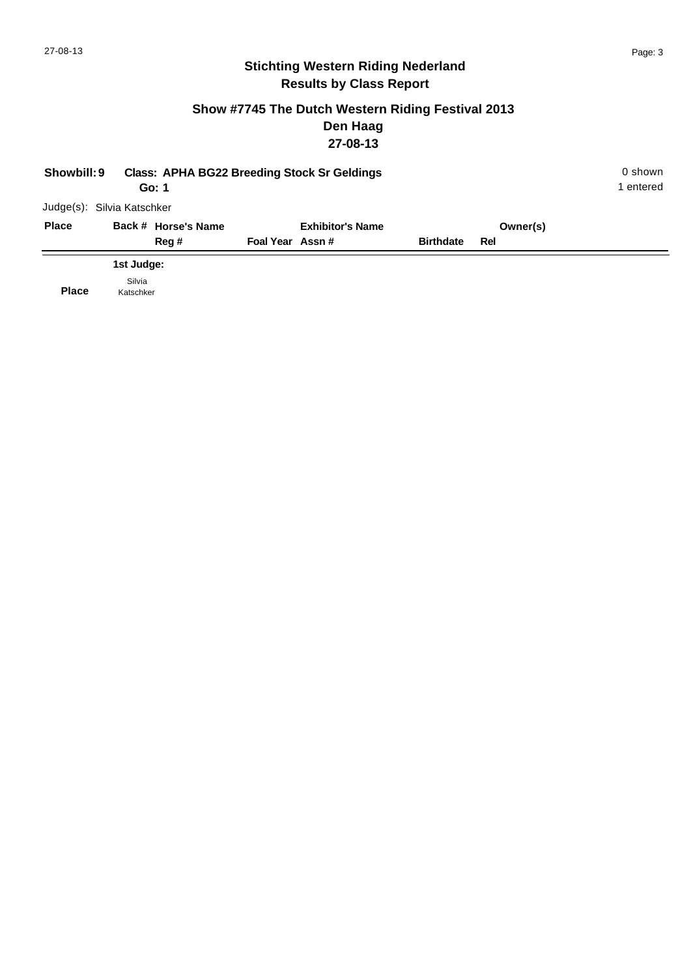#### **Show #7745 The Dutch Western Riding Festival 2013 Den Haag 27-08-13**

| Showbill: 9                |            | Go: 1               |                 | <b>Class: APHA BG22 Breeding Stock Sr Geldings</b> |                  |          | 0 shown<br>1 entered |
|----------------------------|------------|---------------------|-----------------|----------------------------------------------------|------------------|----------|----------------------|
| Judge(s): Silvia Katschker |            |                     |                 |                                                    |                  |          |                      |
| <b>Place</b>               |            | Back # Horse's Name |                 | <b>Exhibitor's Name</b>                            |                  | Owner(s) |                      |
|                            |            | Reg #               | Foal Year Assn# |                                                    | <b>Birthdate</b> | Rel      |                      |
|                            | 1st Judge: |                     |                 |                                                    |                  |          |                      |
| --                         | Silvia     |                     |                 |                                                    |                  |          |                      |

**Place** Katschker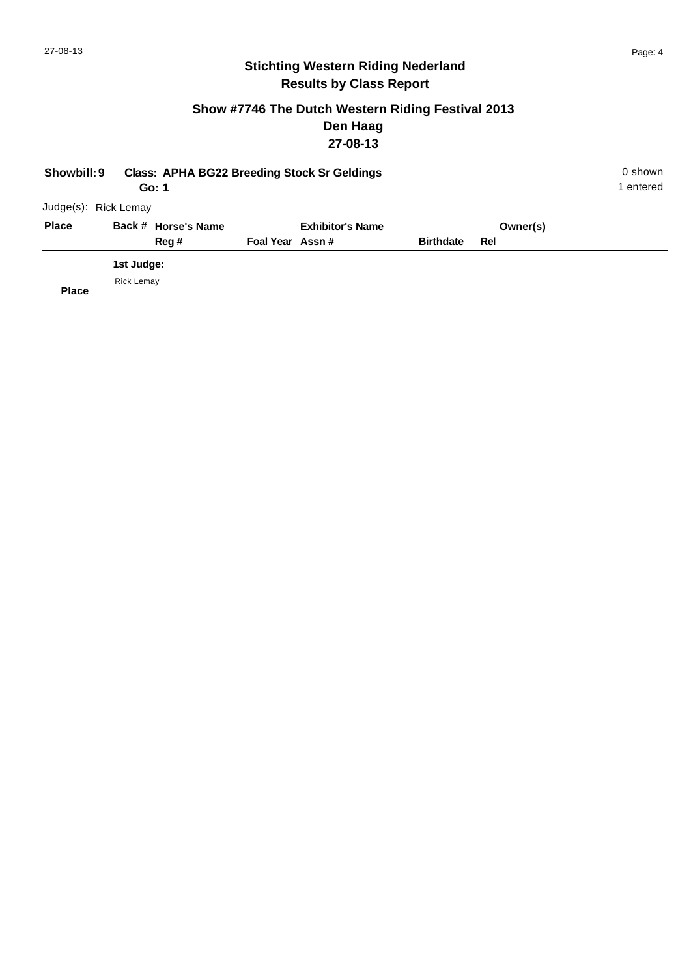#### **Show #7746 The Dutch Western Riding Festival 2013 Den Haag 27-08-13**

| Showbill: 9  |                      | Go: 1               |                 | <b>Class: APHA BG22 Breeding Stock Sr Geldings</b> |                  |          | 0 shown<br>1 entered |
|--------------|----------------------|---------------------|-----------------|----------------------------------------------------|------------------|----------|----------------------|
|              | Judge(s): Rick Lemay |                     |                 |                                                    |                  |          |                      |
| <b>Place</b> |                      | Back # Horse's Name |                 | <b>Exhibitor's Name</b>                            |                  | Owner(s) |                      |
|              |                      | Reg#                | Foal Year Assn# |                                                    | <b>Birthdate</b> | Rel      |                      |
|              | 1st Judge:           |                     |                 |                                                    |                  |          |                      |
| <b>Place</b> | <b>Rick Lemay</b>    |                     |                 |                                                    |                  |          |                      |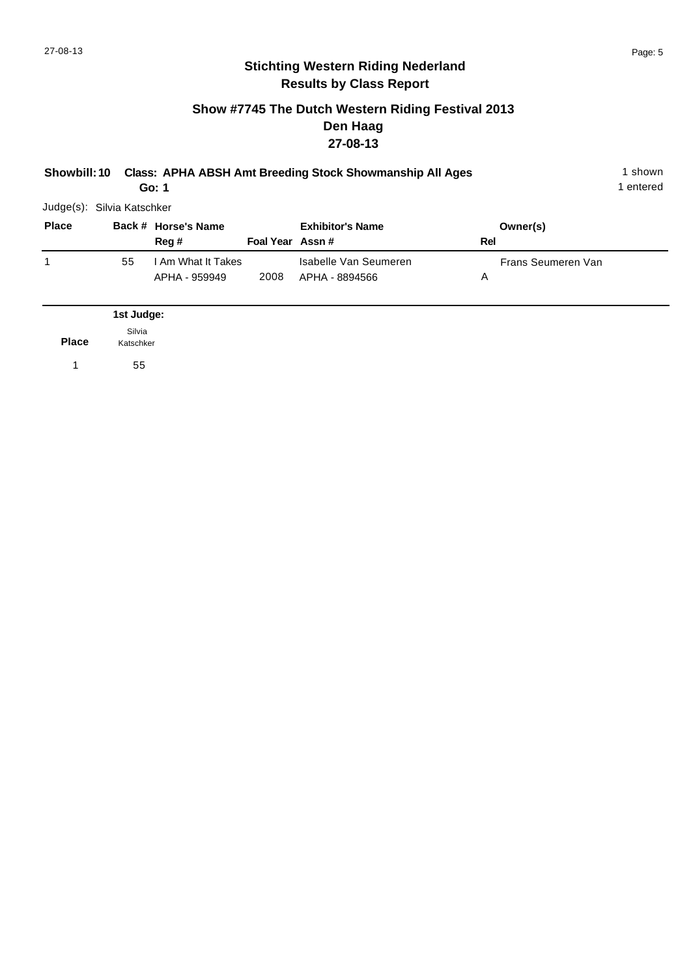#### **Show #7745 The Dutch Western Riding Festival 2013 Den Haag 27-08-13**

| Showbill: 10               |                     | Go: 1                               |                  | <b>Class: APHA ABSH Amt Breeding Stock Showmanship All Ages</b> |     |                    | 1 shown<br>1 entered |
|----------------------------|---------------------|-------------------------------------|------------------|-----------------------------------------------------------------|-----|--------------------|----------------------|
| Judge(s): Silvia Katschker |                     |                                     |                  |                                                                 |     |                    |                      |
| <b>Place</b>               |                     | Back # Horse's Name<br>Reg #        | Foal Year Assn # | <b>Exhibitor's Name</b>                                         | Rel | Owner(s)           |                      |
| 1                          | 55                  | I Am What It Takes<br>APHA - 959949 | 2008             | Isabelle Van Seumeren<br>APHA - 8894566                         | Α   | Frans Seumeren Van |                      |
|                            | 1st Judge:          |                                     |                  |                                                                 |     |                    |                      |
| <b>Place</b>               | Silvia<br>Katschker |                                     |                  |                                                                 |     |                    |                      |
| 1                          | 55                  |                                     |                  |                                                                 |     |                    |                      |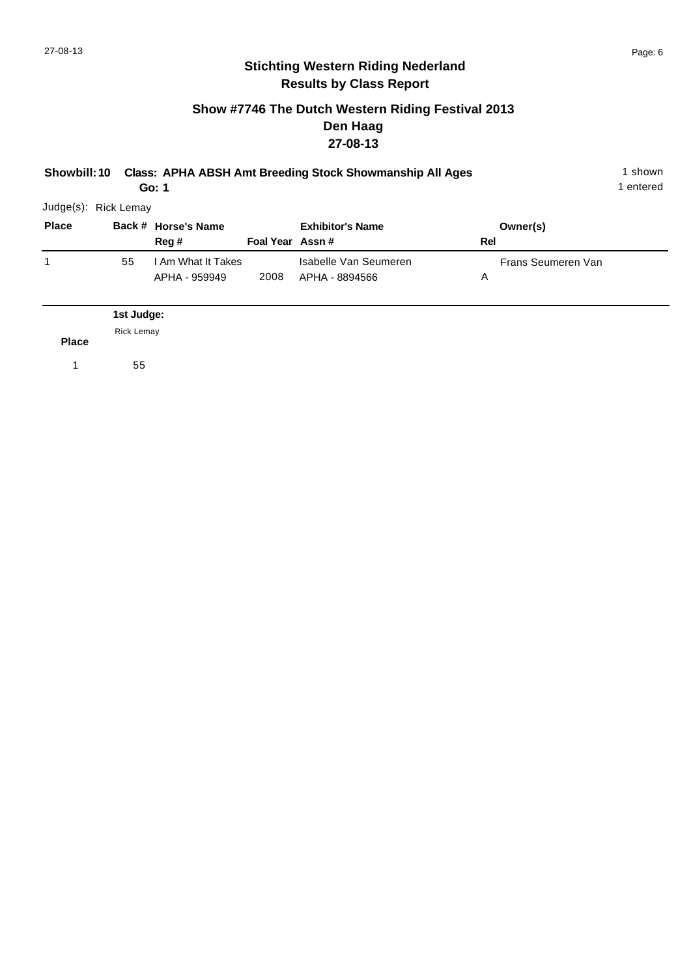## **Show #7746 The Dutch Western Riding Festival 2013 Den Haag 27-08-13**

| <b>Showbill: 10</b>  |                   | Go: 1                               |                 | <b>Class: APHA ABSH Amt Breeding Stock Showmanship All Ages</b> |     |                    | 1 shown<br>1 entered |
|----------------------|-------------------|-------------------------------------|-----------------|-----------------------------------------------------------------|-----|--------------------|----------------------|
| Judge(s): Rick Lemay |                   |                                     |                 |                                                                 |     |                    |                      |
| <b>Place</b>         |                   | Back # Horse's Name<br>Reg #        | Foal Year Assn# | <b>Exhibitor's Name</b>                                         | Rel | Owner(s)           |                      |
| 1                    | 55                | I Am What It Takes<br>APHA - 959949 | 2008            | Isabelle Van Seumeren<br>APHA - 8894566                         | Α   | Frans Seumeren Van |                      |
|                      | 1st Judge:        |                                     |                 |                                                                 |     |                    |                      |
| <b>Place</b>         | <b>Rick Lemay</b> |                                     |                 |                                                                 |     |                    |                      |
| 1                    | 55                |                                     |                 |                                                                 |     |                    |                      |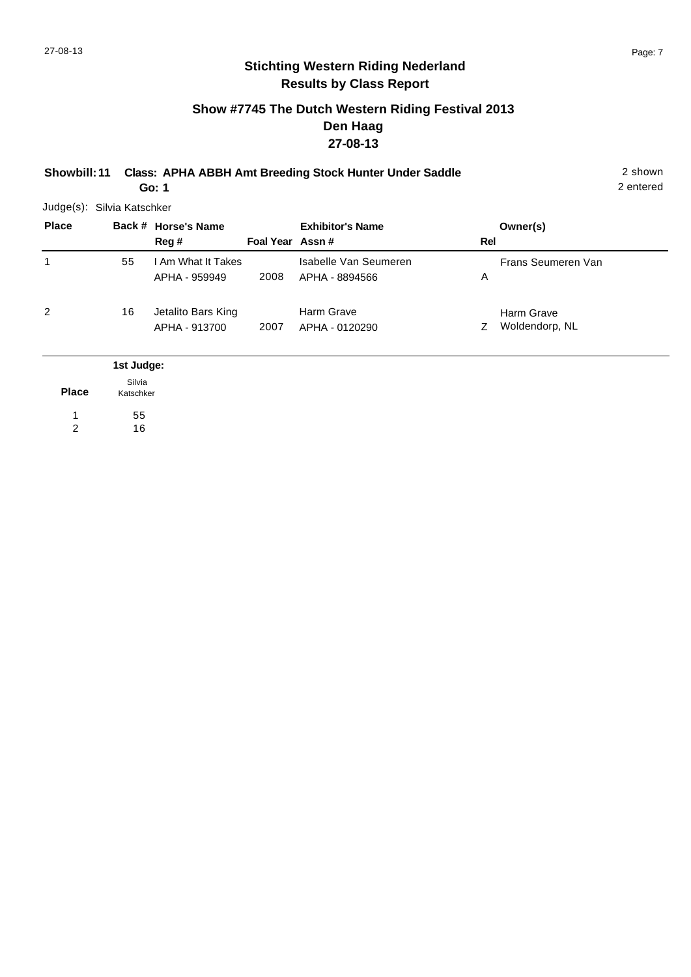### **Show #7745 The Dutch Western Riding Festival 2013 Den Haag 27-08-13**

**Showbill: 11 Class: APHA ABBH Amt Breeding Stock Hunter Under Saddle** 2 shown

**Go: 1**

55 16

1 2 2 entered

Judge(s): Silvia Katschker

|    | Reg #                               |                                                          | <b>Exhibitor's Name</b>                 |                 | Owner(s)                     |     |
|----|-------------------------------------|----------------------------------------------------------|-----------------------------------------|-----------------|------------------------------|-----|
| 55 | APHA - 959949                       | 2008                                                     | Isabelle Van Seumeren<br>APHA - 8894566 | A               | Frans Seumeren Van           |     |
| 16 | Jetalito Bars King<br>APHA - 913700 | 2007                                                     | Harm Grave<br>APHA - 0120290            | Z               | Harm Grave<br>Woldendorp, NL |     |
|    |                                     |                                                          |                                         |                 |                              |     |
|    |                                     | Back # Horse's Name<br>1st Judge:<br>Silvia<br>Katschker | I Am What It Takes                      | Foal Year Assn# |                              | Rel |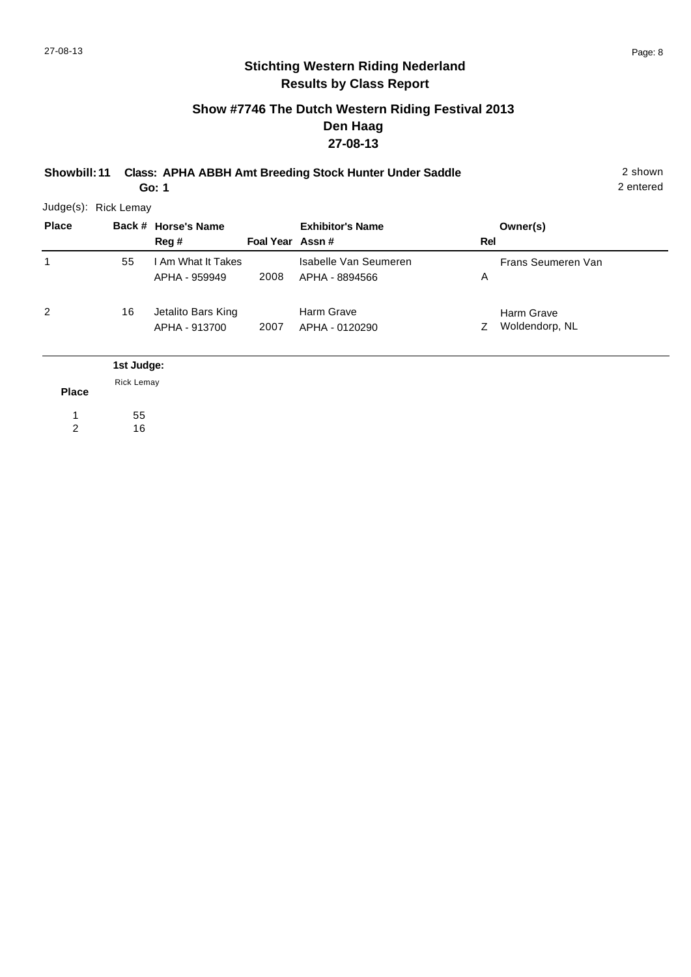### **Show #7746 The Dutch Western Riding Festival 2013 Den Haag 27-08-13**

**Showbill: 11 Class: APHA ABBH Amt Breeding Stock Hunter Under Saddle** 2 shown

**Go: 1**

2 entered

Judge(s): Rick Lemay

| <b>Place</b> |                   | Back # Horse's Name<br>Reg#         | Foal Year Assn# | <b>Exhibitor's Name</b>                 | Rel | Owner(s)                     |
|--------------|-------------------|-------------------------------------|-----------------|-----------------------------------------|-----|------------------------------|
| 1            | 55                | I Am What It Takes<br>APHA - 959949 | 2008            | Isabelle Van Seumeren<br>APHA - 8894566 | A   | Frans Seumeren Van           |
| 2            | 16                | Jetalito Bars King<br>APHA - 913700 | 2007            | Harm Grave<br>APHA - 0120290            | Z   | Harm Grave<br>Woldendorp, NL |
|              | 1st Judge:        |                                     |                 |                                         |     |                              |
| <b>Place</b> | <b>Rick Lemay</b> |                                     |                 |                                         |     |                              |

55 1

16 2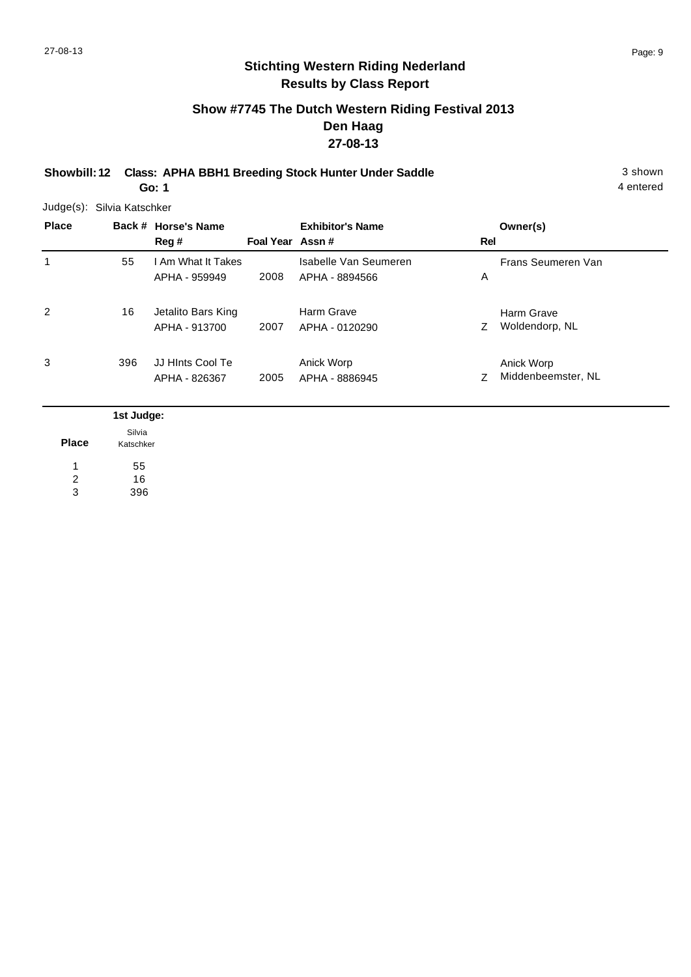## **Show #7745 The Dutch Western Riding Festival 2013 Den Haag 27-08-13**

**Showbill: 12 Class: APHA BBH1 Breeding Stock Hunter Under Saddle** 3 shown **Go: 1**

Judge(s): Silvia Katschker

| <b>Place</b> |     | Back # Horse's Name<br>Reg#         | Foal Year Assn# | <b>Exhibitor's Name</b>                 | Rel | Owner(s)                         |
|--------------|-----|-------------------------------------|-----------------|-----------------------------------------|-----|----------------------------------|
| 1            | 55  | I Am What It Takes<br>APHA - 959949 | 2008            | Isabelle Van Seumeren<br>APHA - 8894566 | A   | Frans Seumeren Van               |
| 2            | 16  | Jetalito Bars King<br>APHA - 913700 | 2007            | Harm Grave<br>APHA - 0120290            | Z.  | Harm Grave<br>Woldendorp, NL     |
| 3            | 396 | JJ HInts Cool Te<br>APHA - 826367   | 2005            | Anick Worp<br>APHA - 8886945            | Z   | Anick Worp<br>Middenbeemster, NL |

|                | 1st Judge:          |
|----------------|---------------------|
| <b>Place</b>   | Silvia<br>Katschker |
|                | 55                  |
| $\overline{2}$ | 16                  |
| 3              | 396                 |

4 entered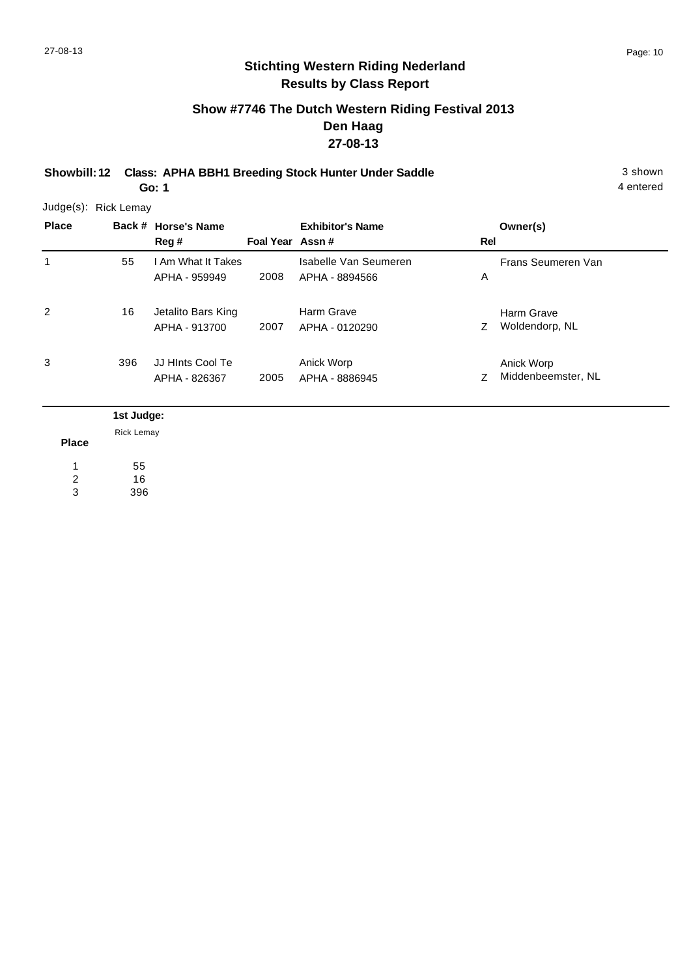4 entered

## **Stichting Western Riding Nederland Results by Class Report**

## **Show #7746 The Dutch Western Riding Festival 2013 Den Haag 27-08-13**

**Showbill: 12 Class: APHA BBH1 Breeding Stock Hunter Under Saddle** 3 shown **Go: 1**

| <b>Place</b> |     | Back # Horse's Name<br>Reg #        | Foal Year Assn# | <b>Exhibitor's Name</b>                 | <b>Rel</b> | Owner(s)                         |
|--------------|-----|-------------------------------------|-----------------|-----------------------------------------|------------|----------------------------------|
| 1            | 55  | I Am What It Takes<br>APHA - 959949 | 2008            | Isabelle Van Seumeren<br>APHA - 8894566 | Α          | Frans Seumeren Van               |
| 2            | 16  | Jetalito Bars King<br>APHA - 913700 | 2007            | Harm Grave<br>APHA - 0120290            | Z          | Harm Grave<br>Woldendorp, NL     |
| 3            | 396 | JJ HInts Cool Te<br>APHA - 826367   | 2005            | Anick Worp<br>APHA - 8886945            | Ζ          | Anick Worp<br>Middenbeemster, NL |

|                | 1st Judge: |
|----------------|------------|
|                | Rick Lemay |
| <b>Place</b>   |            |
|                | 55         |
| $\overline{c}$ | 16         |
| 3              | 396        |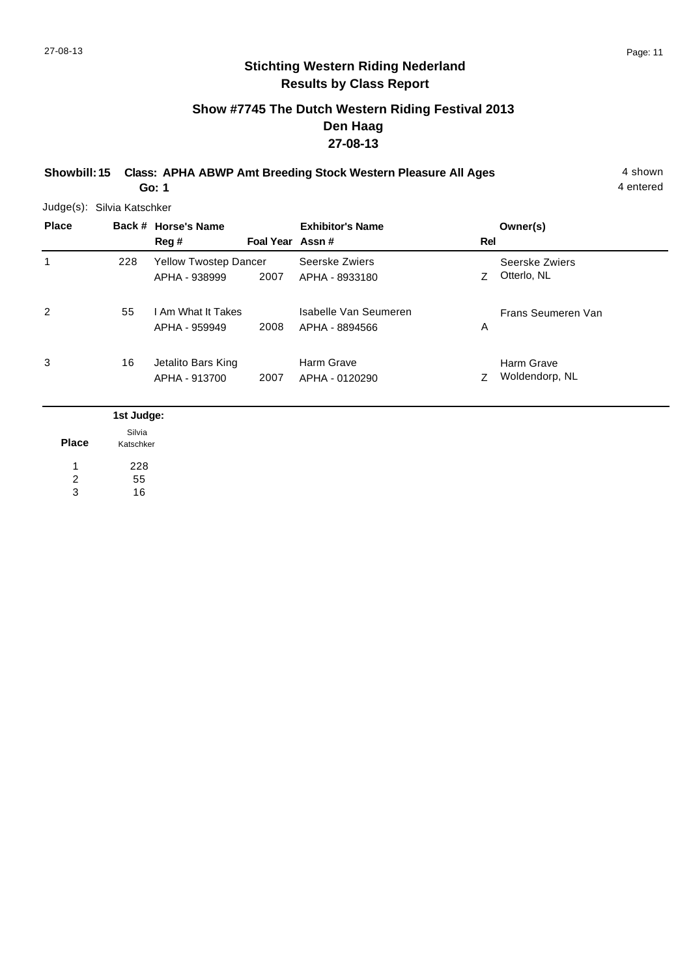## **Show #7745 The Dutch Western Riding Festival 2013 Den Haag 27-08-13**

**Showbill: 15 Class: APHA ABWP Amt Breeding Stock Western Pleasure All Ages** 4 shown **Go: 1**

4 entered

Judge(s): Silvia Katschker

| <b>Place</b> |     | Back # Horse's Name<br>Reg #                  | Foal Year Assn# | <b>Exhibitor's Name</b>                 | Rel | Owner(s)                      |
|--------------|-----|-----------------------------------------------|-----------------|-----------------------------------------|-----|-------------------------------|
| 1            | 228 | <b>Yellow Twostep Dancer</b><br>APHA - 938999 | 2007            | Seerske Zwiers<br>APHA - 8933180        | Z.  | Seerske Zwiers<br>Otterlo, NL |
| 2            | 55  | I Am What It Takes<br>APHA - 959949           | 2008            | Isabelle Van Seumeren<br>APHA - 8894566 | A   | Frans Seumeren Van            |
| 3            | 16  | Jetalito Bars King<br>APHA - 913700           | 2007            | Harm Grave<br>APHA - 0120290            |     | Harm Grave<br>Woldendorp, NL  |

|              | 1st Judge: |
|--------------|------------|
|              | Silvia     |
| <b>Place</b> | Katschker  |
|              | 228        |
| 2            | 55         |
| 3            | 16         |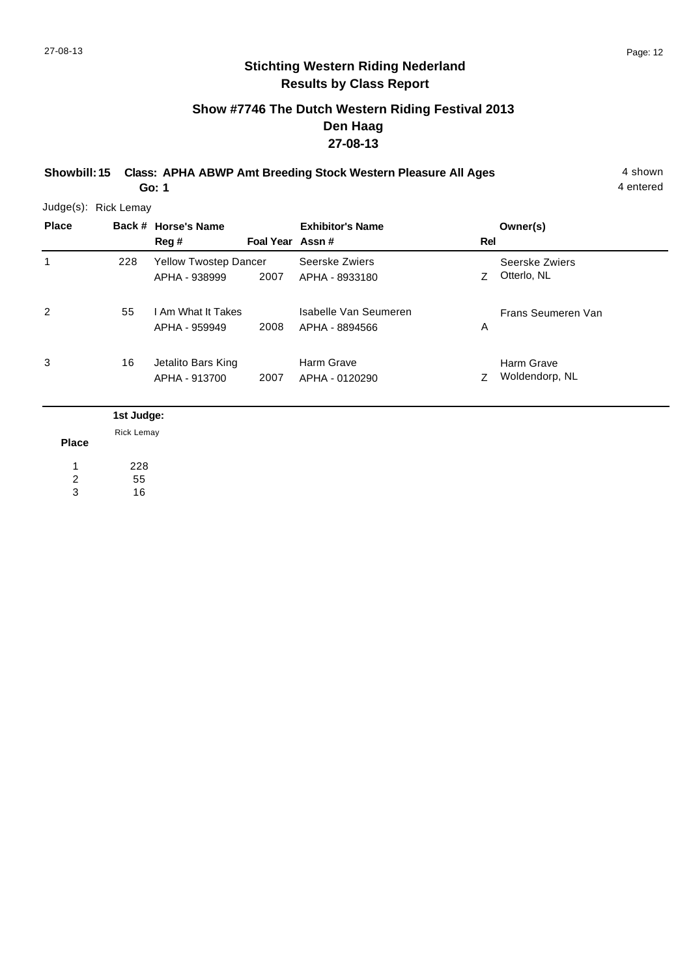## **Show #7746 The Dutch Western Riding Festival 2013 Den Haag 27-08-13**

**Showbill: 15 Class: APHA ABWP Amt Breeding Stock Western Pleasure All Ages** 4 shown **Go: 1**

4 entered

| <b>Place</b> |     | Back # Horse's Name<br>Reg#                   | Foal Year Assn# | <b>Exhibitor's Name</b>                 | Rel | Owner(s)                      |
|--------------|-----|-----------------------------------------------|-----------------|-----------------------------------------|-----|-------------------------------|
| 1            | 228 | <b>Yellow Twostep Dancer</b><br>APHA - 938999 | 2007            | Seerske Zwiers<br>APHA - 8933180        |     | Seerske Zwiers<br>Otterlo, NL |
| 2            | 55  | I Am What It Takes<br>APHA - 959949           | 2008            | Isabelle Van Seumeren<br>APHA - 8894566 | Α   | Frans Seumeren Van            |
| 3            | 16  | Jetalito Bars King<br>APHA - 913700           | 2007            | Harm Grave<br>APHA - 0120290            |     | Harm Grave<br>Woldendorp, NL  |

|              | 1st Judge:        |
|--------------|-------------------|
|              | <b>Rick Lemay</b> |
| <b>Place</b> |                   |
|              | 228               |
| 2            | 55                |
| 3            | 16                |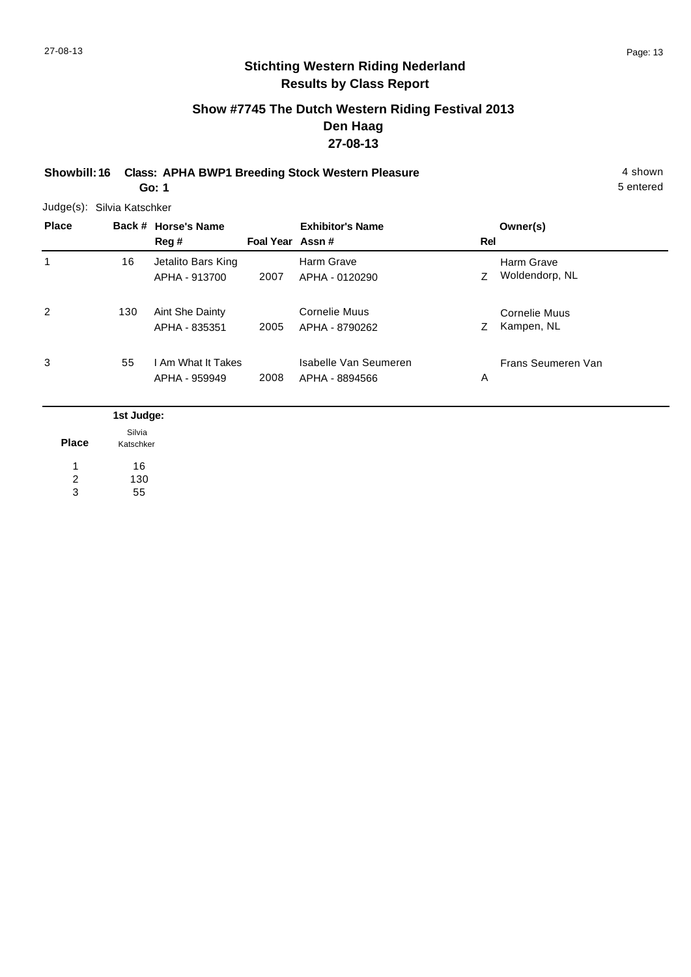5 entered

# **Stichting Western Riding Nederland Results by Class Report**

## **Show #7745 The Dutch Western Riding Festival 2013 Den Haag 27-08-13**

**Showbill: 16 Class: APHA BWP1 Breeding Stock Western Pleasure** 4 shown **Go: 1**

|              | Judge(s): Silvia Katschker |                        |                 |                         |     |                    |
|--------------|----------------------------|------------------------|-----------------|-------------------------|-----|--------------------|
| <b>Place</b> |                            | Back # Horse's Name    |                 | <b>Exhibitor's Name</b> |     | Owner(s)           |
|              |                            | Reg#                   | Foal Year Assn# |                         | Rel |                    |
| 1            | 16                         | Jetalito Bars King     |                 | Harm Grave              |     | Harm Grave         |
|              |                            | APHA - 913700          | 2007            | APHA - 0120290          | Ζ   | Woldendorp, NL     |
| 2            | 130                        | <b>Aint She Dainty</b> |                 | <b>Cornelie Muus</b>    |     | Cornelie Muus      |
|              |                            | APHA - 835351          | 2005            | APHA - 8790262          | Z.  | Kampen, NL         |
| 3            | 55                         | l Am What It Takes     |                 | Isabelle Van Seumeren   |     | Frans Seumeren Van |
|              |                            | APHA - 959949          | 2008            | APHA - 8894566          | Α   |                    |

|              | 1st Judge:          |
|--------------|---------------------|
| <b>Place</b> | Silvia<br>Katschker |
|              | 16                  |
| 2            | 130                 |
| 3            | 55                  |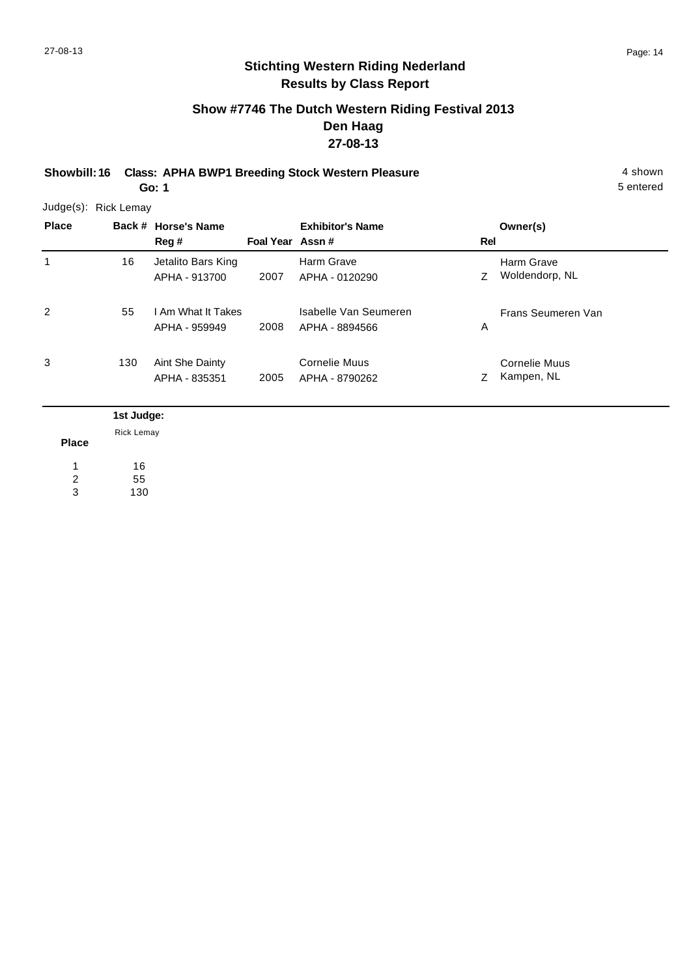## **Show #7746 The Dutch Western Riding Festival 2013 Den Haag 27-08-13**

**Showbill: 16 Class: APHA BWP1 Breeding Stock Western Pleasure** 4 shown **Go: 1**

5 entered

| <b>Place</b> |     | Back # Horse's Name<br>Reg #        | Foal Year Assn# | <b>Exhibitor's Name</b>                 | Rel | Owner(s)                     |
|--------------|-----|-------------------------------------|-----------------|-----------------------------------------|-----|------------------------------|
| 1            | 16  | Jetalito Bars King<br>APHA - 913700 | 2007            | Harm Grave<br>APHA - 0120290            | Z   | Harm Grave<br>Woldendorp, NL |
| 2            | 55  | I Am What It Takes<br>APHA - 959949 | 2008            | Isabelle Van Seumeren<br>APHA - 8894566 | Α   | Frans Seumeren Van           |
| 3            | 130 | Aint She Dainty<br>APHA - 835351    | 2005            | Cornelie Muus<br>APHA - 8790262         | Z   | Cornelie Muus<br>Kampen, NL  |

|              | 1st Judge:        |
|--------------|-------------------|
|              | <b>Rick Lemay</b> |
| <b>Place</b> |                   |
|              | 16                |
| 2            | 55                |
| 3            | 130               |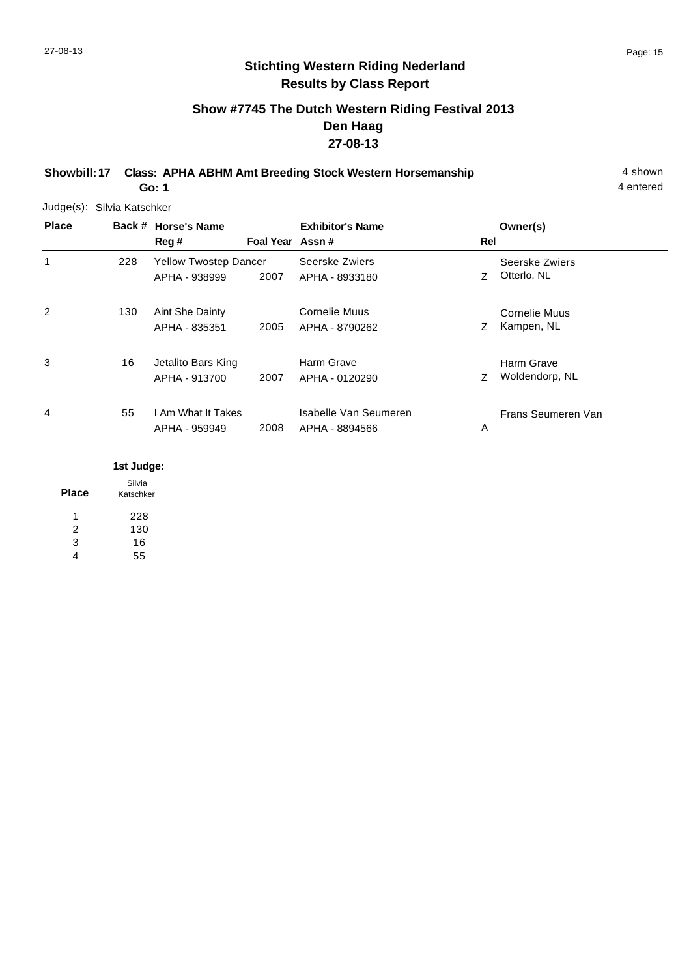## **Show #7745 The Dutch Western Riding Festival 2013 Den Haag 27-08-13**

**Showbill: 17 Class: APHA ABHM Amt Breeding Stock Western Horsemanship** 4 shown 4 shown

**Go: 1**

4 entered

Judge(s): Silvia Katschker

| <b>Place</b> |     | Back # Horse's Name<br>Reg #                  | Foal Year Assn# | <b>Exhibitor's Name</b>                 | Rel | Owner(s)                           |
|--------------|-----|-----------------------------------------------|-----------------|-----------------------------------------|-----|------------------------------------|
| 1            | 228 | <b>Yellow Twostep Dancer</b><br>APHA - 938999 | 2007            | Seerske Zwiers<br>APHA - 8933180        | Ζ   | Seerske Zwiers<br>Otterlo, NL      |
| 2            | 130 | Aint She Dainty<br>APHA - 835351              | 2005            | <b>Cornelie Muus</b><br>APHA - 8790262  | Z   | <b>Cornelie Muus</b><br>Kampen, NL |
| 3            | 16  | Jetalito Bars King<br>APHA - 913700           | 2007            | Harm Grave<br>APHA - 0120290            | Ζ   | Harm Grave<br>Woldendorp, NL       |
| 4            | 55  | I Am What It Takes<br>APHA - 959949           | 2008            | Isabelle Van Seumeren<br>APHA - 8894566 | Α   | Frans Seumeren Van                 |
|              | .   |                                               |                 |                                         |     |                                    |

|              | 1st Judge: |
|--------------|------------|
|              | Silvia     |
| <b>Place</b> | Katschker  |
| и            | 228        |
| 2            | 130        |
| 3            | 16         |
| 4            | 55         |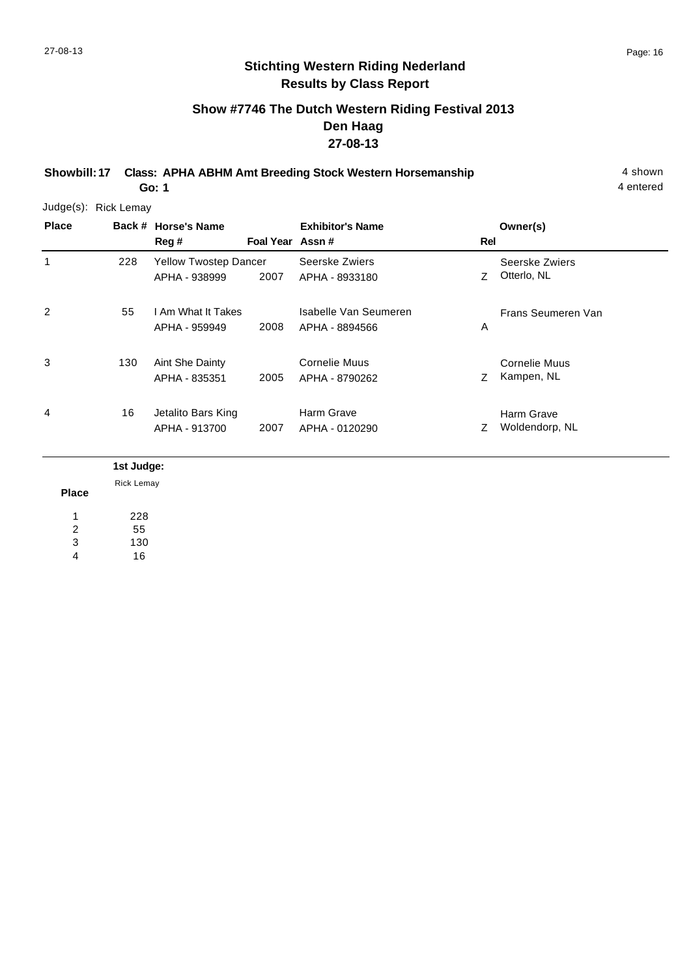## **Show #7746 The Dutch Western Riding Festival 2013 Den Haag 27-08-13**

**Showbill: 17 Class: APHA ABHM Amt Breeding Stock Western Horsemanship** 4 shown **Go: 1**

4 entered

Judge(s): Rick Lemay

| <b>Place</b> |     | Back # Horse's Name<br>Reg #                  | Foal Year Assn# | <b>Exhibitor's Name</b>                 | Rel | Owner(s)                      |
|--------------|-----|-----------------------------------------------|-----------------|-----------------------------------------|-----|-------------------------------|
| 1            | 228 | <b>Yellow Twostep Dancer</b><br>APHA - 938999 | 2007            | Seerske Zwiers<br>APHA - 8933180        | Z.  | Seerske Zwiers<br>Otterlo, NL |
| 2            | 55  | I Am What It Takes<br>APHA - 959949           | 2008            | Isabelle Van Seumeren<br>APHA - 8894566 | A   | Frans Seumeren Van            |
| 3            | 130 | Aint She Dainty<br>APHA - 835351              | 2005            | Cornelie Muus<br>APHA - 8790262         | Z   | Cornelie Muus<br>Kampen, NL   |
| 4            | 16  | Jetalito Bars King<br>APHA - 913700           | 2007            | Harm Grave<br>APHA - 0120290            | Z   | Harm Grave<br>Woldendorp, NL  |

**Place 1st Judge:**  228 55 130 1 2 3 Rick Lemay

16 4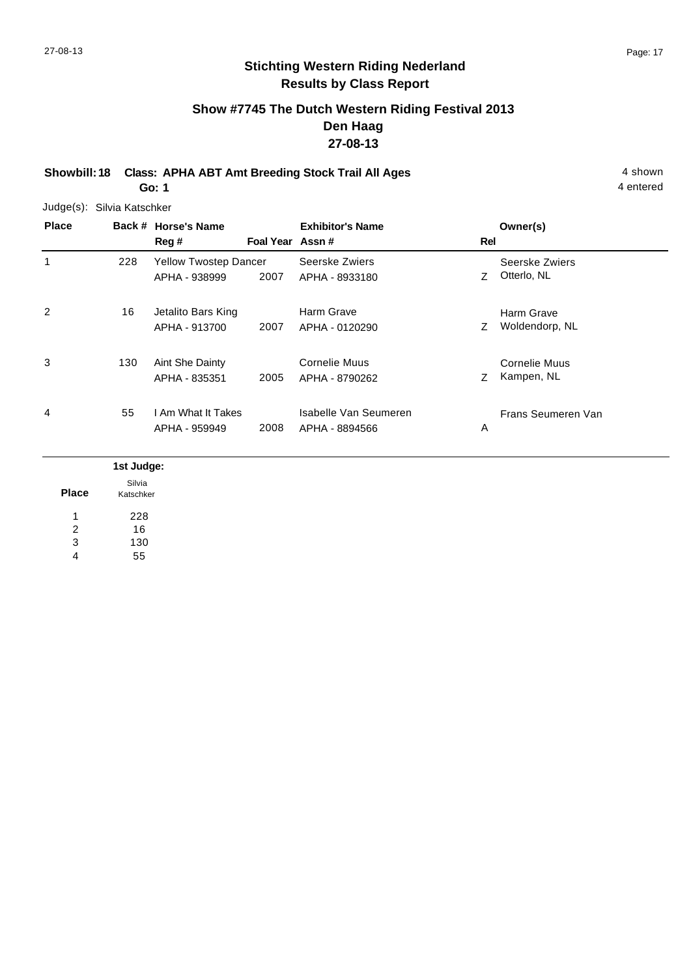## **Show #7745 The Dutch Western Riding Festival 2013 Den Haag 27-08-13**

**Showbill: 18 Class: APHA ABT Amt Breeding Stock Trail All Ages** 4 shown **Go: 1**

Judge(s): Silvia Katschker

**Back # Horse's Name Place Owner(s) Reg # Assn # Foal Year Rel Exhibitor's Name** 1 Z Otterlo, NL Seerske Zwiers 2007 APHA - 8933180 Z Otterlo, NL Yellow Twostep Dancer APHA - 938999 Seerske Zwiers 228 2 Z Woldendorp, NL Harm Grave 2007 Woldendorp, NL APHA - 0120290 Jetalito Bars King APHA - 913700 Harm Grave 16 3 Z Kampen, NL Cornelie Muus 2005 APHA - 8790262 CHANNEL 2005 APHA - 8790262 130 Aint She Dainty APHA - 835351 Cornelie Muus 4 A Frans Seumeren Van 2008 APHA - 8894566 I Am What It Takes APHA - 959949 Isabelle Van Seumeren 55

|              | 1st Judge: |
|--------------|------------|
|              | Silvia     |
| <b>Place</b> | Katschker  |
| и            | 228        |
| 2            | 16         |
| 3            | 130        |
| 4            | 55         |

4 entered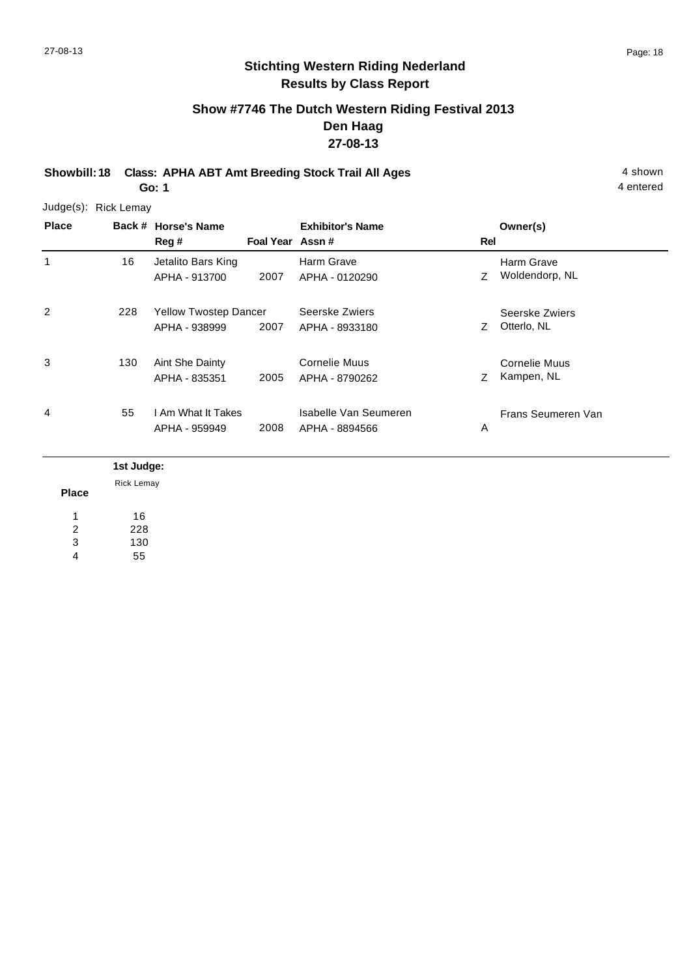## **Show #7746 The Dutch Western Riding Festival 2013 Den Haag 27-08-13**

**Showbill: 18 Class: APHA ABT Amt Breeding Stock Trail All Ages** 4 shown **Go: 1**

4 entered

Judge(s): Rick Lemay

| <b>Place</b> |            | Back # Horse's Name<br>Reg #                  | Foal Year Assn# | <b>Exhibitor's Name</b>                 | Rel | Owner(s)                      |
|--------------|------------|-----------------------------------------------|-----------------|-----------------------------------------|-----|-------------------------------|
|              | 16         | Jetalito Bars King<br>APHA - 913700           | 2007            | Harm Grave<br>APHA - 0120290            | Z   | Harm Grave<br>Woldendorp, NL  |
| 2            | 228        | <b>Yellow Twostep Dancer</b><br>APHA - 938999 | 2007            | Seerske Zwiers<br>APHA - 8933180        | Z   | Seerske Zwiers<br>Otterlo, NL |
| 3            | 130        | Aint She Dainty<br>APHA - 835351              | 2005            | Cornelie Muus<br>APHA - 8790262         | Z   | Cornelie Muus<br>Kampen, NL   |
| 4            | 55         | I Am What It Takes<br>APHA - 959949           | 2008            | Isabelle Van Seumeren<br>APHA - 8894566 | Α   | Frans Seumeren Van            |
|              | 1st Judge: |                                               |                 |                                         |     |                               |

Rick Lemay

**Place** 16 228 130 55 1 2 3 4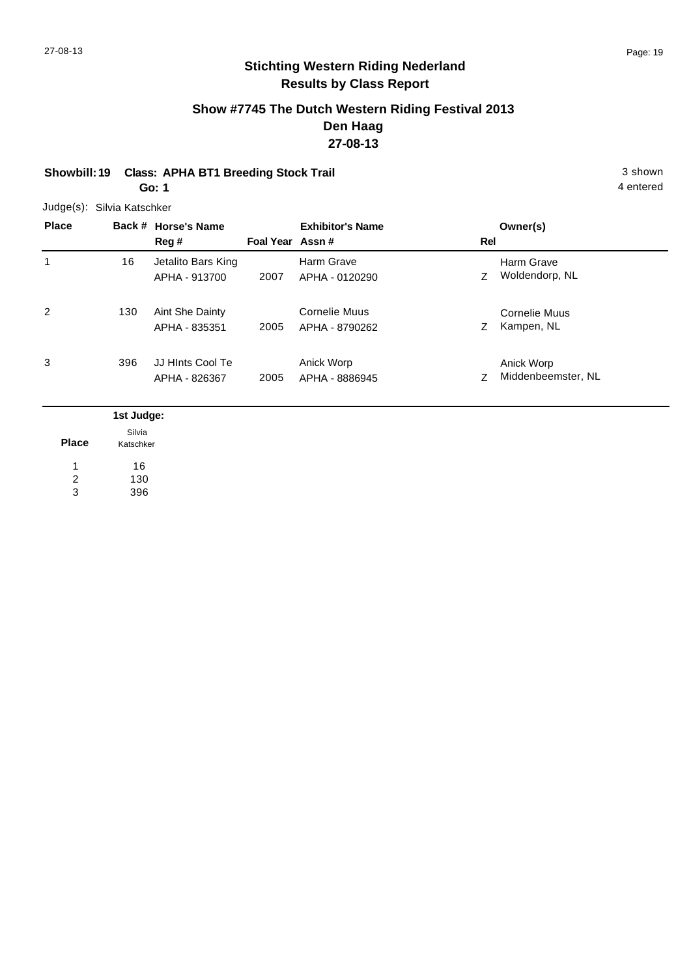## **Show #7745 The Dutch Western Riding Festival 2013 Den Haag 27-08-13**

#### **Showbill: 19 Class: APHA BT1 Breeding Stock Trail 3 Shown 3 shown** 3 shown **Go: 1**

Judge(s): Silvia Katschker

| <b>Place</b> |     | Back # Horse's Name<br>Reg #        | Foal Year Assn# | <b>Exhibitor's Name</b>         | Rel | Owner(s)                         |
|--------------|-----|-------------------------------------|-----------------|---------------------------------|-----|----------------------------------|
| 1            | 16  | Jetalito Bars King<br>APHA - 913700 | 2007            | Harm Grave<br>APHA - 0120290    | Z   | Harm Grave<br>Woldendorp, NL     |
| 2            | 130 | Aint She Dainty<br>APHA - 835351    | 2005            | Cornelie Muus<br>APHA - 8790262 | Z.  | Cornelie Muus<br>Kampen, NL      |
| 3            | 396 | JJ HInts Cool Te<br>APHA - 826367   | 2005            | Anick Worp<br>APHA - 8886945    | Z   | Anick Worp<br>Middenbeemster, NL |

|              | 1st Judge:          |  |  |
|--------------|---------------------|--|--|
| <b>Place</b> | Silvia<br>Katschker |  |  |
|              | 16                  |  |  |
| 2            | 130                 |  |  |
| 3            | 396                 |  |  |

4 entered